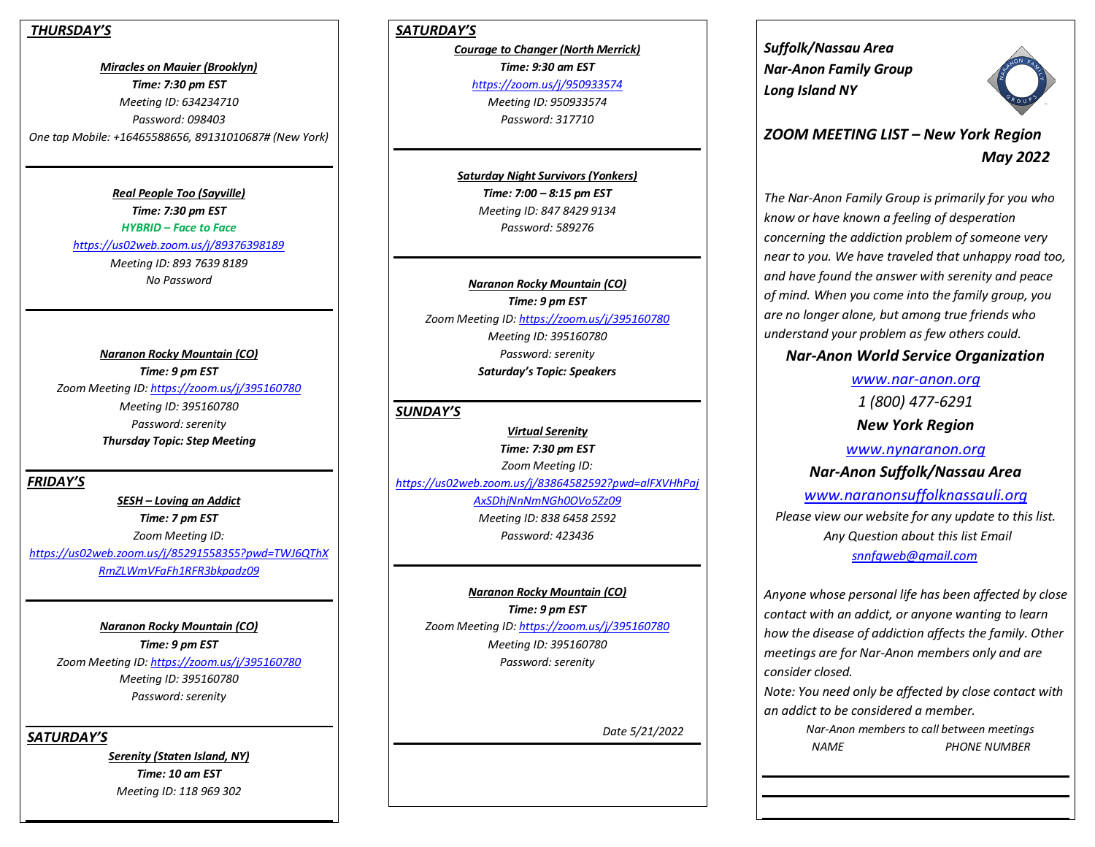### *THURSDAY'S*

*Miracles on Mauier (Brooklyn) Time: 7:30 pm EST Meeting ID: 634234710 Password: 098403 One tap Mobile: +16465588656, 89131010687# (New York)*

> *Real People Too (Sayville) Time: 7:30 pm EST HYBRID – Face to Face <https://us02web.zoom.us/j/89376398189> Meeting ID: 893 7639 8189 No Password*

*Naranon Rocky Mountain (CO) Time: 9 pm EST Zoom Meeting ID[: https://zoom.us/j/395160780](https://zoom.us/j/395160780) Meeting ID: 395160780 Password: serenity Thursday Topic: Step Meeting*

#### *FRIDAY'S*

*SESH – Loving an Addict Time: 7 pm EST Zoom Meeting ID: [https://us02web.zoom.us/j/85291558355?pwd=TWJ6QThX](https://us02web.zoom.us/j/85291558355?pwd=TWJ6QThXRmZLWmVFaFh1RFR3bkpadz09) [RmZLWmVFaFh1RFR3bkpadz09](https://us02web.zoom.us/j/85291558355?pwd=TWJ6QThXRmZLWmVFaFh1RFR3bkpadz09)*

*Naranon Rocky Mountain (CO) Time: 9 pm EST Zoom Meeting ID[: https://zoom.us/j/395160780](https://zoom.us/j/395160780) Meeting ID: 395160780 Password: serenity*

*SATURDAY'S*

*Serenity (Staten Island, NY) Time: 10 am EST Meeting ID: 118 969 302*

# *SATURDAY'S*

*Courage to Changer (North Merrick) Time: 9:30 am EST <https://zoom.us/j/950933574> Meeting ID: 950933574 Password: 317710*

*Saturday Night Survivors (Yonkers) Time: 7:00 – 8:15 pm EST Meeting ID: 847 8429 9134 Password: 589276*

*Naranon Rocky Mountain (CO) Time: 9 pm EST Zoom Meeting ID[: https://zoom.us/j/395160780](https://zoom.us/j/395160780) Meeting ID: 395160780 Password: serenity Saturday's Topic: Speakers*

## *SUNDAY'S*

*Virtual Serenity Time: 7:30 pm EST Zoom Meeting ID: [https://us02web.zoom.us/j/83864582592?pwd=alFXVHhPaj](https://us02web.zoom.us/j/83864582592?pwd=alFXVHhPajAxSDhjNnNmNGh0OVo5Zz09) [AxSDhjNnNmNGh0OVo5Zz09](https://us02web.zoom.us/j/83864582592?pwd=alFXVHhPajAxSDhjNnNmNGh0OVo5Zz09) Meeting ID: 838 6458 2592 Password: 423436*

*Naranon Rocky Mountain (CO) Time: 9 pm EST Zoom Meeting ID[: https://zoom.us/j/395160780](https://zoom.us/j/395160780) Meeting ID: 395160780 Password: serenity*

 *Date 5/21/2022* 

*Suffolk/Nassau Area Nar-Anon Family Group Long Island NY* 



# *ZOOM MEETING LIST – New York Region May 2022*

*The Nar-Anon Family Group is primarily for you who know or have known a feeling of desperation concerning the addiction problem of someone very near to you. We have traveled that unhappy road too, and have found the answer with serenity and peace of mind. When you come into the family group, you are no longer alone, but among true friends who understand your problem as few others could.* 

# *Nar-Anon World Service Organization*

*[www.nar-anon.org](http://www.nar-anon.org/) 1 (800) 477-6291 New York Region*

*[www.nynaranon.org](http://www.nynaranon.org/) Nar-Anon Suffolk/Nassau Area [www.naranonsuffolknassauli.org](http://www.naranonsuffolkli.org/) Please view our website for any update to this list. Any Question about this list Email [snnfgweb@gmail.com](mailto:snnfgweb@gmail.com)*

*Anyone whose personal life has been affected by close contact with an addict, or anyone wanting to learn how the disease of addiction affects the family. Other meetings are for Nar-Anon members only and are consider closed.*

*Note: You need only be affected by close contact with an addict to be considered a member.*

> *Nar-Anon members to call between meetings NAME PHONE NUMBER*